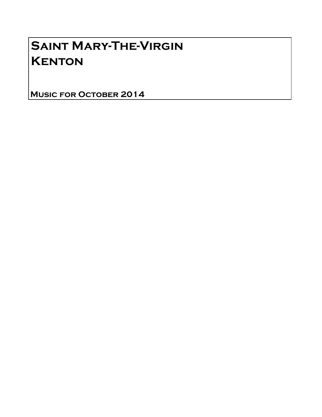# Saint Mary-The-Virgin **KENTON**

Music for October 2014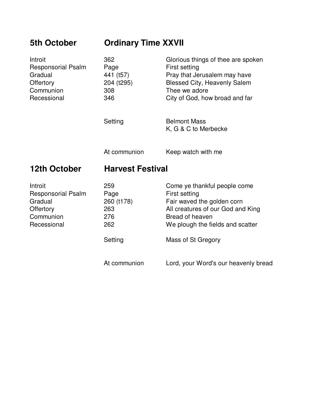| <b>5th October</b>                                                                       | <b>Ordinary Time XXVII</b>                           |                                                                                                                                                                               |
|------------------------------------------------------------------------------------------|------------------------------------------------------|-------------------------------------------------------------------------------------------------------------------------------------------------------------------------------|
| Introit<br><b>Responsorial Psalm</b><br>Gradual<br>Offertory<br>Communion<br>Recessional | 362<br>Page<br>441 (t57)<br>204 (t295)<br>308<br>346 | Glorious things of thee are spoken<br>First setting<br>Pray that Jerusalem may have<br><b>Blessed City, Heavenly Salem</b><br>Thee we adore<br>City of God, how broad and far |
|                                                                                          | Setting                                              | <b>Belmont Mass</b><br>K, G & C to Merbecke                                                                                                                                   |
|                                                                                          | At communion                                         | Keep watch with me                                                                                                                                                            |
| 12th October                                                                             | <b>Harvest Festival</b>                              |                                                                                                                                                                               |
| Introit<br><b>Responsorial Psalm</b><br>Gradual<br>Offertory<br>Communion<br>Recessional | 259<br>Page<br>260 (t178)<br>263<br>276<br>262       | Come ye thankful people come<br>First setting<br>Fair waved the golden corn<br>All creatures of our God and King<br>Bread of heaven<br>We plough the fields and scatter       |
|                                                                                          | Setting                                              | Mass of St Gregory                                                                                                                                                            |
|                                                                                          | At communion                                         | Lord, your Word's our heavenly bread                                                                                                                                          |